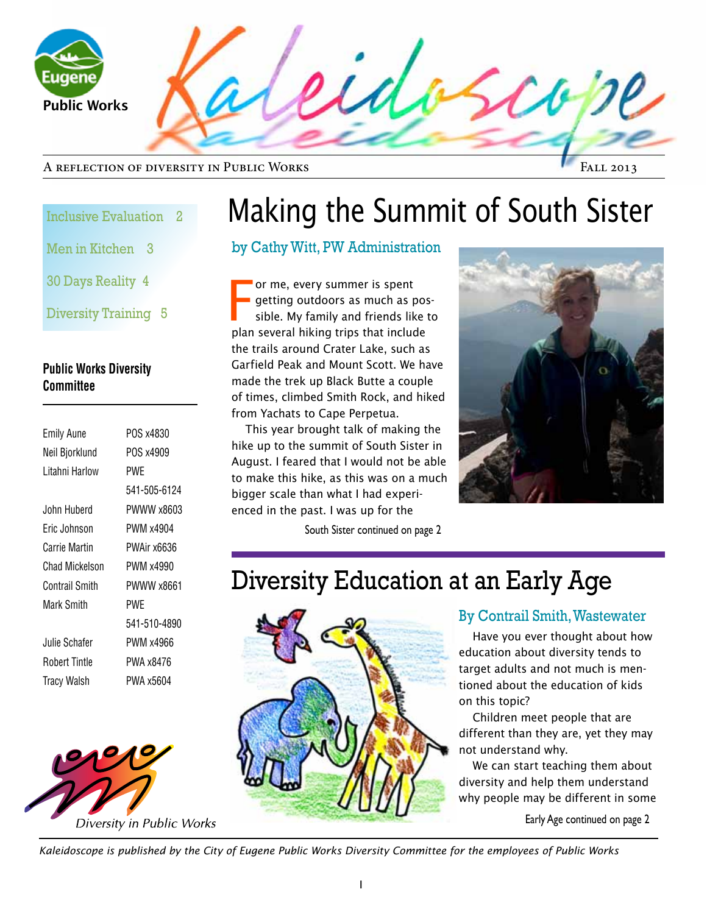

#### A reflection of diversity in Public Works

Fall 2013

#### Inclusive Evaluation 2

Men in Kitchen 3

30 Days Reality 4

Diversity Training 5

#### **Public Works Diversity Committee**

| <b>Emily Aune</b>    | POS x4830    |
|----------------------|--------------|
| Neil Bjorklund       | POS x4909    |
| I itahni Harlow      | PWF          |
|                      | 541-505-6124 |
| John Huberd          | PWWW x8603   |
| Fric Johnson         | PWM x4904    |
| Carrie Martin        | PWAir x6636  |
| Chad Mickelson       | PWM x4990    |
| Contrail Smith       | PWWW x8661   |
| Mark Smith           | PWF          |
|                      | 541-510-4890 |
| Julie Schafer        | PWM x4966    |
| <b>Robert Tintle</b> | PWA x8476    |
| <b>Tracy Walsh</b>   | PWA x5604    |
|                      |              |



# Making the Summit of South Sister

### by Cathy Witt, PW Administration

F or me, every summer is spent getting outdoors as much as possible. My family and friends like to plan several hiking trips that include the trails around Crater Lake, such as Garfield Peak and Mount Scott. We have made the trek up Black Butte a couple of times, climbed Smith Rock, and hiked from Yachats to Cape Perpetua.

This year brought talk of making the hike up to the summit of South Sister in August. I feared that I would not be able to make this hike, as this was on a much bigger scale than what I had experienced in the past. I was up for the

South Sister continued on page 2

## Diversity Education at an Early Age



### By Contrail Smith, Wastewater

Have you ever thought about how education about diversity tends to target adults and not much is mentioned about the education of kids on this topic?

Children meet people that are different than they are, yet they may not understand why.

diversity and help them understand<br>why people may be different in some We can start teaching them about why people may be different in some

Early Age continued on page 2

*Kaleidoscope is published by the City of Eugene Public Works Diversity Committee for the employees of Public Works*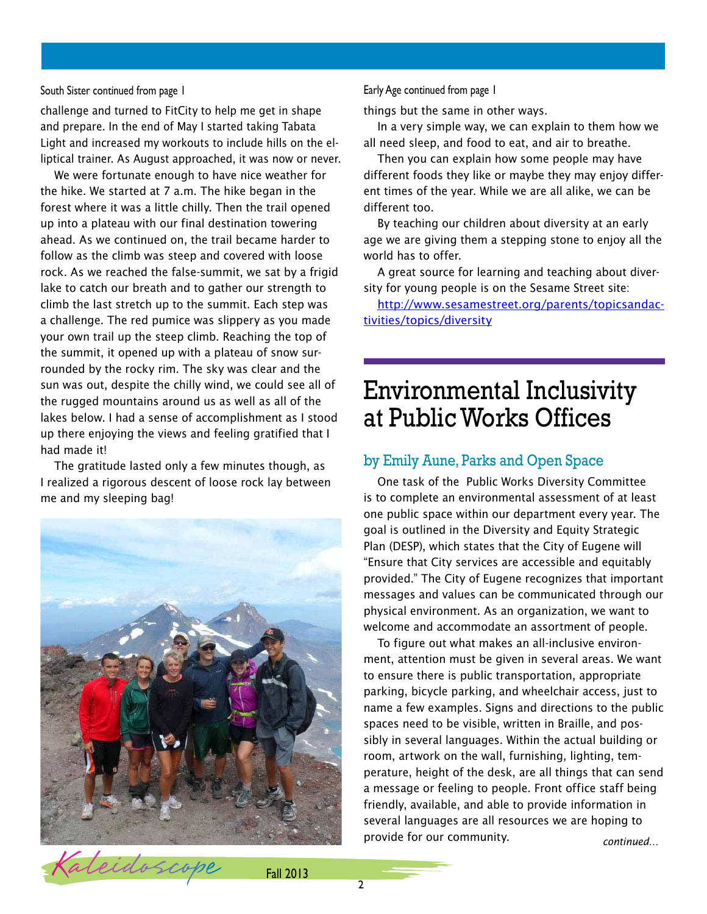#### South Sister continued from page 1

challenge and turned to FitCity to help me get in shape and prepare. In the end of May I started taking Tabata Light and increased my workouts to include hills on the elliptical trainer. As August approached, it was now or never.

We were fortunate enough to have nice weather for the hike. We started at 7 a.m. The hike began in the forest where it was a little chilly. Then the trail opened up into a plateau with our final destination towering ahead. As we continued on, the trail became harder to follow as the climb was steep and covered with loose rock. As we reached the false-summit, we sat by a frigid lake to catch our breath and to gather our strength to climb the last stretch up to the summit. Each step was a challenge. The red pumice was slippery as you made your own trail up the steep climb. Reaching the top of the summit, it opened up with a plateau of snow surrounded by the rocky rim. The sky was clear and the sun was out, despite the chilly wind, we could see all of the rugged mountains around us as well as all of the lakes below. I had a sense of accomplishment as I stood up there enjoying the views and feeling gratified that I had made it!

The gratitude lasted only a few minutes though, as I realized a rigorous descent of loose rock lay between me and my sleeping bag!



#### Early Age continued from page 1

things but the same in other ways.

In a very simple way, we can explain to them how we all need sleep, and food to eat, and air to breathe.

Then you can explain how some people may have different foods they like or maybe they may enjoy different times of the year. While we are all alike, we can be different too.

By teaching our children about diversity at an early age we are giving them a stepping stone to enjoy all the world has to offer.

A great source for learning and teaching about diversity for young people is on the Sesame Street site:

http://www.sesamestreet.org/parents/topicsandactivities/topics/diversity

## Environmental Inclusivity at Public Works Offices

#### by Emily Aune, Parks and Open Space

One task of the Public Works Diversity Committee is to complete an environmental assessment of at least one public space within our department every year. The goal is outlined in the Diversity and Equity Strategic Plan (DESP), which states that the City of Eugene will "Ensure that City services are accessible and equitably provided." The City of Eugene recognizes that important messages and values can be communicated through our physical environment. As an organization, we want to welcome and accommodate an assortment of people.

To figure out what makes an all-inclusive environment, attention must be given in several areas. We want to ensure there is public transportation, appropriate parking, bicycle parking, and wheelchair access, just to name a few examples. Signs and directions to the public spaces need to be visible, written in Braille, and possibly in several languages. Within the actual building or room, artwork on the wall, furnishing, lighting, temperature, height of the desk, are all things that can send a message or feeling to people. Front office staff being friendly, available, and able to provide information in several languages are all resources we are hoping to provide for our community. *continued…*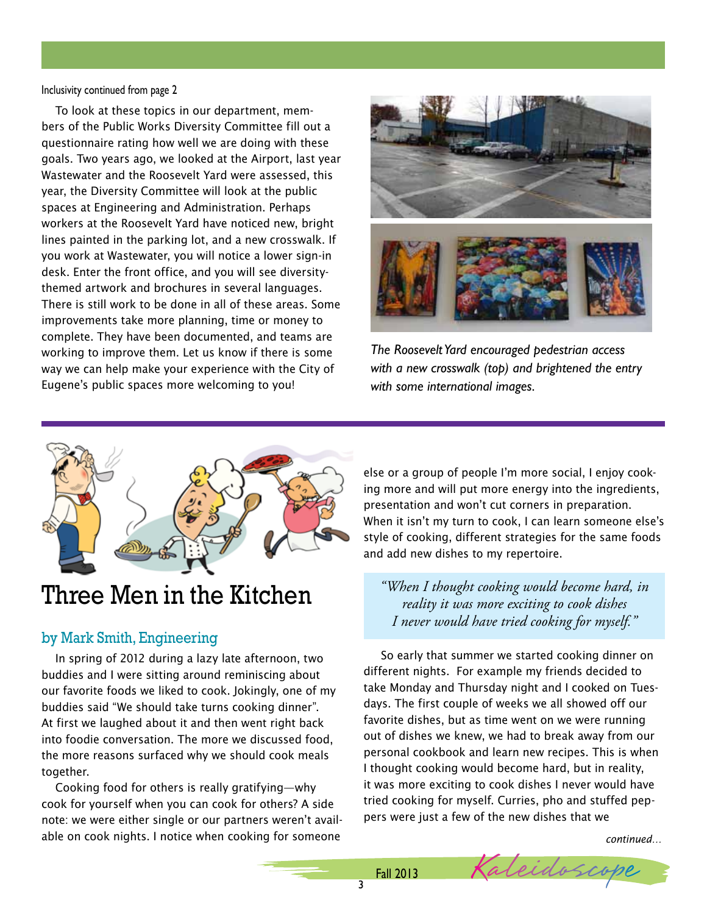Inclusivity continued from page 2

To look at these topics in our department, members of the Public Works Diversity Committee fill out a questionnaire rating how well we are doing with these goals. Two years ago, we looked at the Airport, last year Wastewater and the Roosevelt Yard were assessed, this year, the Diversity Committee will look at the public spaces at Engineering and Administration. Perhaps workers at the Roosevelt Yard have noticed new, bright lines painted in the parking lot, and a new crosswalk. If you work at Wastewater, you will notice a lower sign-in desk. Enter the front office, and you will see diversitythemed artwork and brochures in several languages. There is still work to be done in all of these areas. Some improvements take more planning, time or money to complete. They have been documented, and teams are working to improve them. Let us know if there is some way we can help make your experience with the City of Eugene's public spaces more welcoming to you!



*The Roosevelt Yard encouraged pedestrian access with a new crosswalk (top) and brightened the entry with some international images.* 



## Three Men in the Kitchen

#### by Mark Smith, Engineering

In spring of 2012 during a lazy late afternoon, two buddies and I were sitting around reminiscing about our favorite foods we liked to cook. Jokingly, one of my buddies said "We should take turns cooking dinner". At first we laughed about it and then went right back into foodie conversation. The more we discussed food, the more reasons surfaced why we should cook meals together.

Cooking food for others is really gratifying—why cook for yourself when you can cook for others? A side note: we were either single or our partners weren't available on cook nights. I notice when cooking for someone *continued… continued…*

else or a group of people I'm more social, I enjoy cooking more and will put more energy into the ingredients, presentation and won't cut corners in preparation. When it isn't my turn to cook, I can learn someone else's style of cooking, different strategies for the same foods and add new dishes to my repertoire.

*"When I thought cooking would become hard, in reality it was more exciting to cook dishes I never would have tried cooking for myself."* 

 So early that summer we started cooking dinner on different nights. For example my friends decided to take Monday and Thursday night and I cooked on Tuesdays. The first couple of weeks we all showed off our favorite dishes, but as time went on we were running out of dishes we knew, we had to break away from our personal cookbook and learn new recipes. This is when I thought cooking would become hard, but in reality, it was more exciting to cook dishes I never would have tried cooking for myself. Curries, pho and stuffed peppers were just a few of the new dishes that we

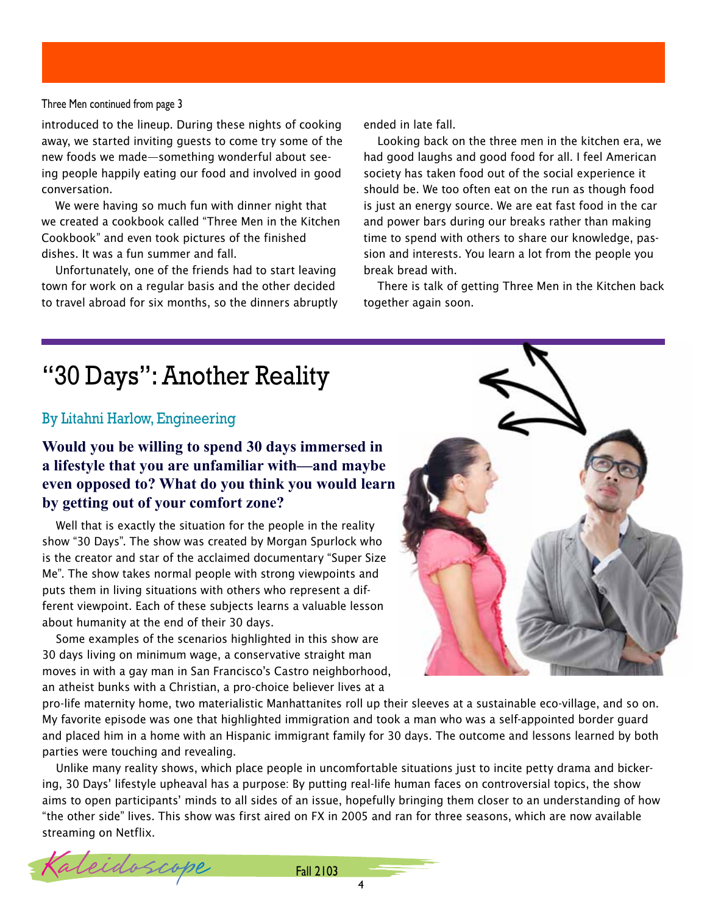#### Three Men continued from page 3

introduced to the lineup. During these nights of cooking away, we started inviting guests to come try some of the new foods we made—something wonderful about seeing people happily eating our food and involved in good conversation.

We were having so much fun with dinner night that we created a cookbook called "Three Men in the Kitchen Cookbook" and even took pictures of the finished dishes. It was a fun summer and fall.

Unfortunately, one of the friends had to start leaving town for work on a regular basis and the other decided to travel abroad for six months, so the dinners abruptly ended in late fall.

Looking back on the three men in the kitchen era, we had good laughs and good food for all. I feel American society has taken food out of the social experience it should be. We too often eat on the run as though food is just an energy source. We are eat fast food in the car and power bars during our breaks rather than making time to spend with others to share our knowledge, passion and interests. You learn a lot from the people you break bread with.

There is talk of getting Three Men in the Kitchen back together again soon.

## "30 Days": Another Reality

#### By Litahni Harlow, Engineering

### **Would you be willing to spend 30 days immersed in a lifestyle that you are unfamiliar with—and maybe even opposed to? What do you think you would learn by getting out of your comfort zone?**

Well that is exactly the situation for the people in the reality show "30 Days". The show was created by Morgan Spurlock who is the creator and star of the acclaimed documentary "Super Size Me". The show takes normal people with strong viewpoints and puts them in living situations with others who represent a different viewpoint. Each of these subjects learns a valuable lesson about humanity at the end of their 30 days.

Some examples of the scenarios highlighted in this show are 30 days living on minimum wage, a conservative straight man moves in with a gay man in San Francisco's Castro neighborhood, an atheist bunks with a Christian, a pro-choice believer lives at a



pro-life maternity home, two materialistic Manhattanites roll up their sleeves at a sustainable eco-village, and so on. My favorite episode was one that highlighted immigration and took a man who was a self-appointed border guard and placed him in a home with an Hispanic immigrant family for 30 days. The outcome and lessons learned by both parties were touching and revealing.

Unlike many reality shows, which place people in uncomfortable situations just to incite petty drama and bickering, 30 Days' lifestyle upheaval has a purpose: By putting real-life human faces on controversial topics, the show aims to open participants' minds to all sides of an issue, hopefully bringing them closer to an understanding of how "the other side" lives. This show was first aired on FX in 2005 and ran for three seasons, which are now available streaming on Netflix.

Kaleidoscope Fall 2103